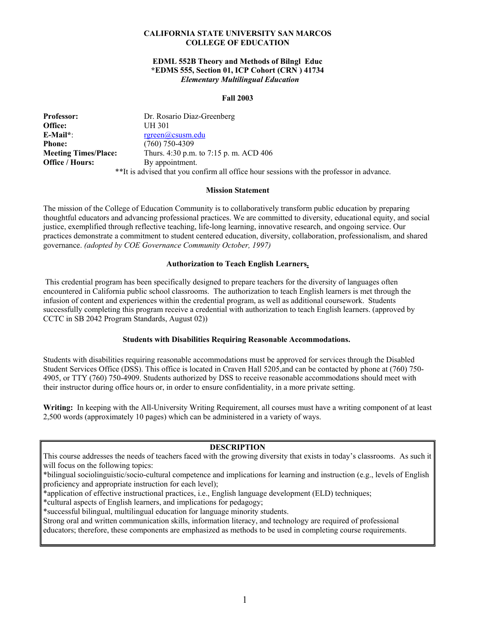## **CALIFORNIA STATE UNIVERSITY SAN MARCOS COLLEGE OF EDUCATION**

## **EDML 552B Theory and Methods of Bilngl Educ \*EDMS 555, Section 01, ICP Cohort (CRN ) 41734** *Elementary Multilingual Education*

## **Fall 2003**

| <b>Professor:</b>           | Dr. Rosario Diaz-Greenberg                                                               |
|-----------------------------|------------------------------------------------------------------------------------------|
| Office:                     | UH 301                                                                                   |
| $E$ -Mail*:                 | $r$ green@csusm.edu                                                                      |
| <b>Phone:</b>               | $(760)$ 750-4309                                                                         |
| <b>Meeting Times/Place:</b> | Thurs. 4:30 p.m. to 7:15 p.m. ACD 406                                                    |
| <b>Office / Hours:</b>      | By appointment.                                                                          |
|                             | **It is advised that you confirm all office hour sessions with the professor in advance. |

#### **Mission Statement**

The mission of the College of Education Community is to collaboratively transform public education by preparing thoughtful educators and advancing professional practices. We are committed to diversity, educational equity, and social justice, exemplified through reflective teaching, life-long learning, innovative research, and ongoing service. Our practices demonstrate a commitment to student centered education, diversity, collaboration, professionalism, and shared governance. *(adopted by COE Governance Community October, 1997)*

### **Authorization to Teach English Learners.**

 This credential program has been specifically designed to prepare teachers for the diversity of languages often encountered in California public school classrooms. The authorization to teach English learners is met through the infusion of content and experiences within the credential program, as well as additional coursework. Students successfully completing this program receive a credential with authorization to teach English learners. (approved by CCTC in SB 2042 Program Standards, August 02))

### **Students with Disabilities Requiring Reasonable Accommodations.**

Students with disabilities requiring reasonable accommodations must be approved for services through the Disabled Student Services Office (DSS). This office is located in Craven Hall 5205,and can be contacted by phone at (760) 750- 4905, or TTY (760) 750-4909. Students authorized by DSS to receive reasonable accommodations should meet with their instructor during office hours or, in order to ensure confidentiality, in a more private setting.

**Writing:** In keeping with the All-University Writing Requirement, all courses must have a writing component of at least 2,500 words (approximately 10 pages) which can be administered in a variety of ways.

#### **DESCRIPTION**

| This course addresses the needs of teachers faced with the growing diversity that exists in today's classrooms. As such it |  |
|----------------------------------------------------------------------------------------------------------------------------|--|
| will focus on the following topics:                                                                                        |  |

\*bilingual sociolinguistic/socio-cultural competence and implications for learning and instruction (e.g., levels of English proficiency and appropriate instruction for each level);

\*application of effective instructional practices, i.e., English language development (ELD) techniques;

\*cultural aspects of English learners, and implications for pedagogy;

\*successful bilingual, multilingual education for language minority students.

Strong oral and written communication skills, information literacy, and technology are required of professional

educators; therefore, these components are emphasized as methods to be used in completing course requirements.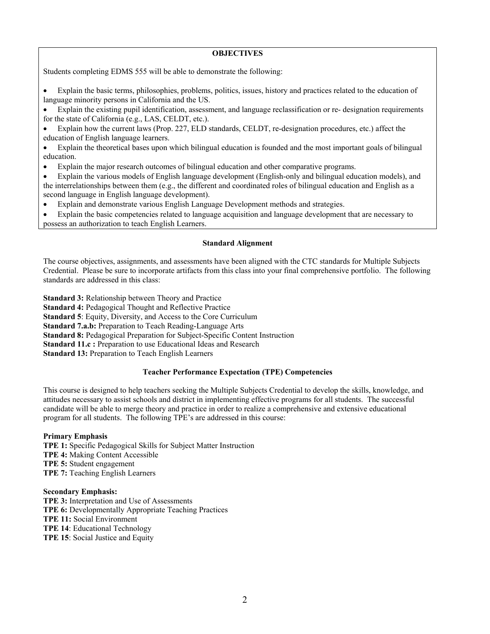## **OBJECTIVES**

Students completing EDMS 555 will be able to demonstrate the following:

- Explain the basic terms, philosophies, problems, politics, issues, history and practices related to the education of language minority persons in California and the US.
- Explain the existing pupil identification, assessment, and language reclassification or re- designation requirements for the state of California (e.g., LAS, CELDT, etc.).
- Explain how the current laws (Prop. 227, ELD standards, CELDT, re-designation procedures, etc.) affect the education of English language learners.
- Explain the theoretical bases upon which bilingual education is founded and the most important goals of bilingual education.
- Explain the major research outcomes of bilingual education and other comparative programs.
- Explain the various models of English language development (English-only and bilingual education models), and the interrelationships between them (e.g., the different and coordinated roles of bilingual education and English as a second language in English language development).
- Explain and demonstrate various English Language Development methods and strategies.
- Explain the basic competencies related to language acquisition and language development that are necessary to possess an authorization to teach English Learners.

### **Standard Alignment**

The course objectives, assignments, and assessments have been aligned with the CTC standards for Multiple Subjects Credential. Please be sure to incorporate artifacts from this class into your final comprehensive portfolio. The following standards are addressed in this class:

**Standard 3:** Relationship between Theory and Practice **Standard 4:** Pedagogical Thought and Reflective Practice **Standard 5**: Equity, Diversity, and Access to the Core Curriculum **Standard 7.a.b:** Preparation to Teach Reading-Language Arts **Standard 8:** Pedagogical Preparation for Subject-Specific Content Instruction **Standard 11.c :** Preparation to use Educational Ideas and Research **Standard 13:** Preparation to Teach English Learners

## **Teacher Performance Expectation (TPE) Competencies**

This course is designed to help teachers seeking the Multiple Subjects Credential to develop the skills, knowledge, and attitudes necessary to assist schools and district in implementing effective programs for all students. The successful candidate will be able to merge theory and practice in order to realize a comprehensive and extensive educational program for all students. The following TPE's are addressed in this course:

## **Primary Emphasis**

**TPE 1:** Specific Pedagogical Skills for Subject Matter Instruction **TPE 4:** Making Content Accessible **TPE 5:** Student engagement **TPE 7:** Teaching English Learners

## **Secondary Emphasis:**

**TPE 3:** Interpretation and Use of Assessments

- **TPE 6:** Developmentally Appropriate Teaching Practices
- **TPE 11:** Social Environment
- **TPE 14**: Educational Technology
- **TPE 15**: Social Justice and Equity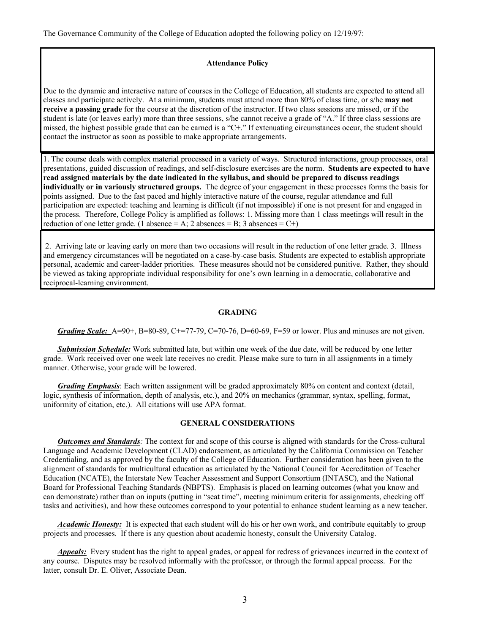The Governance Community of the College of Education adopted the following policy on 12/19/97:

#### **Attendance Policy**

Due to the dynamic and interactive nature of courses in the College of Education, all students are expected to attend all classes and participate actively. At a minimum, students must attend more than 80% of class time, or s/he **may not receive a passing grade** for the course at the discretion of the instructor. If two class sessions are missed, or if the student is late (or leaves early) more than three sessions, s/he cannot receive a grade of "A." If three class sessions are missed, the highest possible grade that can be earned is a "C+." If extenuating circumstances occur, the student should contact the instructor as soon as possible to make appropriate arrangements.

1. The course deals with complex material processed in a variety of ways. Structured interactions, group processes, oral presentations, guided discussion of readings, and self-disclosure exercises are the norm. **Students are expected to have read assigned materials by the date indicated in the syllabus, and should be prepared to discuss readings individually or in variously structured groups.** The degree of your engagement in these processes forms the basis for points assigned. Due to the fast paced and highly interactive nature of the course, regular attendance and full participation are expected: teaching and learning is difficult (if not impossible) if one is not present for and engaged in the process. Therefore, College Policy is amplified as follows: 1. Missing more than 1 class meetings will result in the reduction of one letter grade. (1 absence = A; 2 absences = B; 3 absences = C+)

 2. Arriving late or leaving early on more than two occasions will result in the reduction of one letter grade. 3. Illness and emergency circumstances will be negotiated on a case-by-case basis. Students are expected to establish appropriate personal, academic and career-ladder priorities. These measures should not be considered punitive. Rather, they should be viewed as taking appropriate individual responsibility for one's own learning in a democratic, collaborative and reciprocal-learning environment.

#### **GRADING**

*Grading Scale:* A=90+, B=80-89, C+=77-79, C=70-76, D=60-69, F=59 or lower. Plus and minuses are not given.

*Submission Schedule:* Work submitted late, but within one week of the due date, will be reduced by one letter grade. Work received over one week late receives no credit. Please make sure to turn in all assignments in a timely manner. Otherwise, your grade will be lowered.

*Grading Emphasis*: Each written assignment will be graded approximately 80% on content and context (detail, logic, synthesis of information, depth of analysis, etc.), and 20% on mechanics (grammar, syntax, spelling, format, uniformity of citation, etc.). All citations will use APA format.

## **GENERAL CONSIDERATIONS**

*Outcomes and Standards:* The context for and scope of this course is aligned with standards for the Cross-cultural Language and Academic Development (CLAD) endorsement, as articulated by the California Commission on Teacher Credentialing, and as approved by the faculty of the College of Education. Further consideration has been given to the alignment of standards for multicultural education as articulated by the National Council for Accreditation of Teacher Education (NCATE), the Interstate New Teacher Assessment and Support Consortium (INTASC), and the National Board for Professional Teaching Standards (NBPTS). Emphasis is placed on learning outcomes (what you know and can demonstrate) rather than on inputs (putting in "seat time", meeting minimum criteria for assignments, checking off tasks and activities), and how these outcomes correspond to your potential to enhance student learning as a new teacher.

*Academic Honesty:* It is expected that each student will do his or her own work, and contribute equitably to group projects and processes. If there is any question about academic honesty, consult the University Catalog.

*Appeals:* Every student has the right to appeal grades, or appeal for redress of grievances incurred in the context of any course. Disputes may be resolved informally with the professor, or through the formal appeal process. For the latter, consult Dr. E. Oliver, Associate Dean.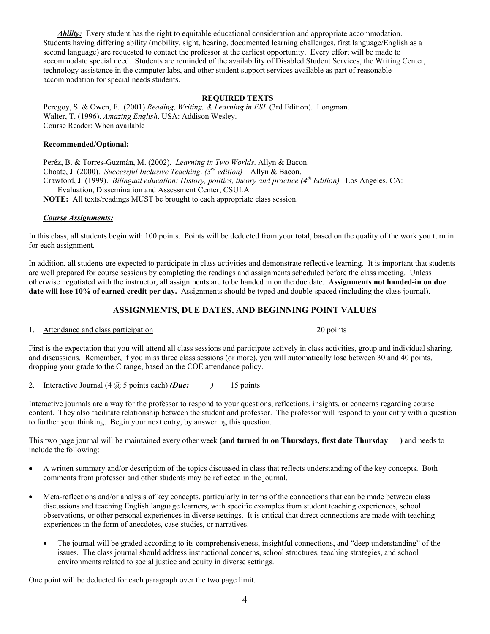*Ability:* Every student has the right to equitable educational consideration and appropriate accommodation. Students having differing ability (mobility, sight, hearing, documented learning challenges, first language/English as a second language) are requested to contact the professor at the earliest opportunity. Every effort will be made to accommodate special need. Students are reminded of the availability of Disabled Student Services, the Writing Center, technology assistance in the computer labs, and other student support services available as part of reasonable accommodation for special needs students.

### **REQUIRED TEXTS**

Peregoy, S. & Owen, F. (2001) *Reading, Writing, & Learning in ESL* (3rd Edition). Longman. Walter, T. (1996). *Amazing English*. USA: Addison Wesley. Course Reader: When available

#### **Recommended/Optional:**

Peréz, B. & Torres-Guzmán, M. (2002). *Learning in Two Worlds*. Allyn & Bacon. Choate, J. (2000). *Successful Inclusive Teaching*. *(3rd edition)* Allyn & Bacon. Crawford, J. (1999). *Bilingual education: History, politics, theory and practice (4<sup>th</sup> Edition).* Los Angeles, CA: Evaluation, Dissemination and Assessment Center, CSULA **NOTE:** All texts/readings MUST be brought to each appropriate class session.

### *Course Assignments:*

In this class, all students begin with 100 points. Points will be deducted from your total, based on the quality of the work you turn in for each assignment.

In addition, all students are expected to participate in class activities and demonstrate reflective learning. It is important that students are well prepared for course sessions by completing the readings and assignments scheduled before the class meeting. Unless otherwise negotiated with the instructor, all assignments are to be handed in on the due date. **Assignments not handed-in on due date will lose 10% of earned credit per day.** Assignments should be typed and double-spaced (including the class journal).

## **ASSIGNMENTS, DUE DATES, AND BEGINNING POINT VALUES**

### 1. Attendance and class participation 20 points 20 points

First is the expectation that you will attend all class sessions and participate actively in class activities, group and individual sharing, and discussions. Remember, if you miss three class sessions (or more), you will automatically lose between 30 and 40 points, dropping your grade to the C range, based on the COE attendance policy.

2. Interactive Journal (4 @ 5 points each) *(Due: )* 15 points

Interactive journals are a way for the professor to respond to your questions, reflections, insights, or concerns regarding course content. They also facilitate relationship between the student and professor. The professor will respond to your entry with a question to further your thinking. Begin your next entry, by answering this question.

This two page journal will be maintained every other week **(and turned in on Thursdays, first date Thursday )** and needs to include the following:

- A written summary and/or description of the topics discussed in class that reflects understanding of the key concepts. Both comments from professor and other students may be reflected in the journal.
- Meta-reflections and/or analysis of key concepts, particularly in terms of the connections that can be made between class discussions and teaching English language learners, with specific examples from student teaching experiences, school observations, or other personal experiences in diverse settings. It is critical that direct connections are made with teaching experiences in the form of anecdotes, case studies, or narratives.
	- The journal will be graded according to its comprehensiveness, insightful connections, and "deep understanding" of the issues. The class journal should address instructional concerns, school structures, teaching strategies, and school environments related to social justice and equity in diverse settings.

One point will be deducted for each paragraph over the two page limit.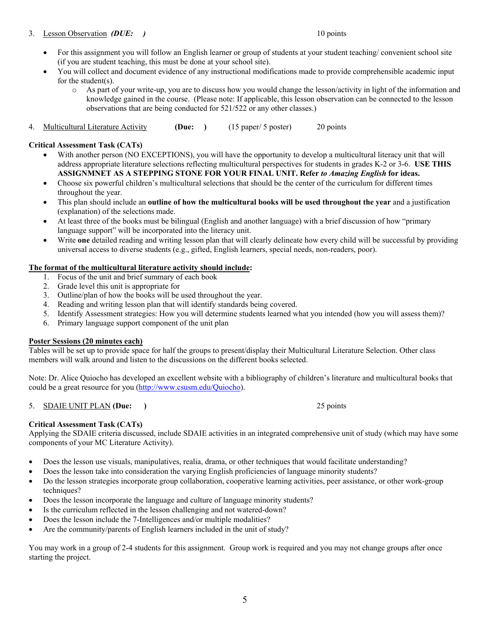## 3. Lesson Observation *(DUE: )* 10 points

- For this assignment you will follow an English learner or group of students at your student teaching/ convenient school site (if you are student teaching, this must be done at your school site).
- You will collect and document evidence of any instructional modifications made to provide comprehensible academic input for the student(s).
	- o As part of your write-up, you are to discuss how you would change the lesson/activity in light of the information and knowledge gained in the course. (Please note: If applicable, this lesson observation can be connected to the lesson observations that are being conducted for 521/522 or any other classes.)
- 4. Multicultural Literature Activity **(Due: )** (15 paper/ 5 poster)20 points

## **Critical Assessment Task (CATs)**

- With another person (NO EXCEPTIONS), you will have the opportunity to develop a multicultural literacy unit that will address appropriate literature selections reflecting multicultural perspectives for students in grades K-2 or 3-6. **USE THIS ASSIGNMNET AS A STEPPING STONE FOR YOUR FINAL UNIT. Refer** *to Amazing English* **for ideas.**
- Choose six powerful children's multicultural selections that should be the center of the curriculum for different times throughout the year.
- This plan should include an **outline of how the multicultural books will be used throughout the year** and a justification (explanation) of the selections made.
- At least three of the books must be bilingual (English and another language) with a brief discussion of how "primary language support" will be incorporated into the literacy unit.
- Write **one** detailed reading and writing lesson plan that will clearly delineate how every child will be successful by providing universal access to diverse students (e.g., gifted, English learners, special needs, non-readers, poor).

## **The format of the multicultural literature activity should include:**

- 1. Focus of the unit and brief summary of each book
- 2. Grade level this unit is appropriate for
- 3. Outline/plan of how the books will be used throughout the year.
- 4. Reading and writing lesson plan that will identify standards being covered.
- 5. Identify Assessment strategies: How you will determine students learned what you intended (how you will assess them)?
- 6. Primary language support component of the unit plan

## **Poster Sessions (20 minutes each)**

Tables will be set up to provide space for half the groups to present/display their Multicultural Literature Selection. Other class members will walk around and listen to the discussions on the different books selected.

Note: Dr. Alice Quiocho has developed an excellent website with a bibliography of children's literature and multicultural books that could be a great resource for you [\(http://www.csusm.edu/Quiocho\)](http://www.csusm.edu/Quiocho).

## 5. SDAIE UNIT PLAN **(Due: )** 25 points

## **Critical Assessment Task (CATs)**

Applying the SDAIE criteria discussed, include SDAIE activities in an integrated comprehensive unit of study (which may have some components of your MC Literature Activity).

- Does the lesson use visuals, manipulatives, realia, drama, or other techniques that would facilitate understanding?
- Does the lesson take into consideration the varying English proficiencies of language minority students?
- Do the lesson strategies incorporate group collaboration, cooperative learning activities, peer assistance, or other work-group techniques?
- Does the lesson incorporate the language and culture of language minority students?
- Is the curriculum reflected in the lesson challenging and not watered-down?
- Does the lesson include the 7-Intelligences and/or multiple modalities?
- Are the community/parents of English learners included in the unit of study?

You may work in a group of 2-4 students for this assignment. Group work is required and you may not change groups after once starting the project.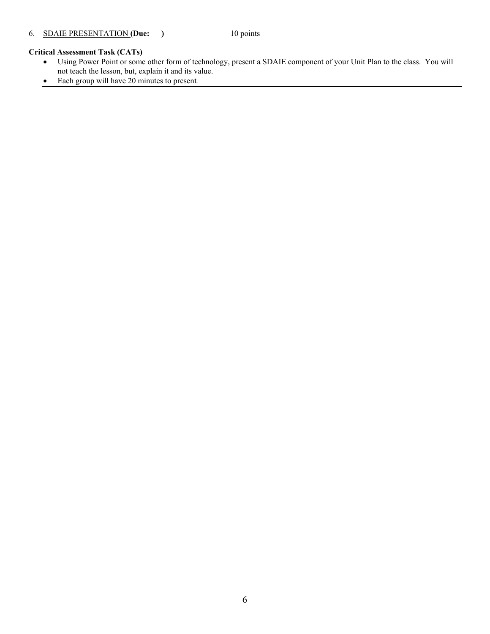## **Critical Assessment Task (CATs)**

- Using Power Point or some other form of technology, present a SDAIE component of your Unit Plan to the class. You will not teach the lesson, but, explain it and its value.
- Each group will have 20 minutes to present*.*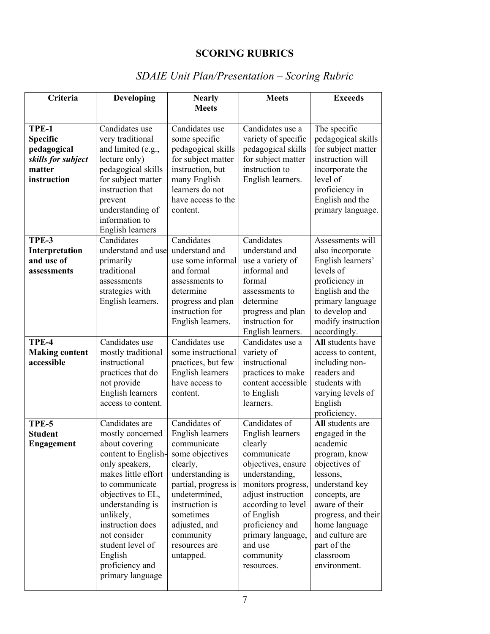## **SCORING RUBRICS**

## *SDAIE Unit Plan/Presentation – Scoring Rubric*

| Criteria                                                                               | <b>Developing</b>                                                                                                                                                                                                                                                                                      | <b>Nearly</b>                                                                                                                                                                                                                           | <b>Meets</b>                                                                                                                                                                                                                                                      | <b>Exceeds</b>                                                                                                                                                                                                                                           |
|----------------------------------------------------------------------------------------|--------------------------------------------------------------------------------------------------------------------------------------------------------------------------------------------------------------------------------------------------------------------------------------------------------|-----------------------------------------------------------------------------------------------------------------------------------------------------------------------------------------------------------------------------------------|-------------------------------------------------------------------------------------------------------------------------------------------------------------------------------------------------------------------------------------------------------------------|----------------------------------------------------------------------------------------------------------------------------------------------------------------------------------------------------------------------------------------------------------|
|                                                                                        |                                                                                                                                                                                                                                                                                                        | <b>Meets</b>                                                                                                                                                                                                                            |                                                                                                                                                                                                                                                                   |                                                                                                                                                                                                                                                          |
| TPE-1<br><b>Specific</b><br>pedagogical<br>skills for subject<br>matter<br>instruction | Candidates use<br>very traditional<br>and limited (e.g.,<br>lecture only)<br>pedagogical skills<br>for subject matter<br>instruction that<br>prevent<br>understanding of<br>information to<br>English learners                                                                                         | Candidates use<br>some specific<br>pedagogical skills<br>for subject matter<br>instruction, but<br>many English<br>learners do not<br>have access to the<br>content.                                                                    | Candidates use a<br>variety of specific<br>pedagogical skills<br>for subject matter<br>instruction to<br>English learners.                                                                                                                                        | The specific<br>pedagogical skills<br>for subject matter<br>instruction will<br>incorporate the<br>level of<br>proficiency in<br>English and the<br>primary language.                                                                                    |
| TPE-3<br>Interpretation<br>and use of<br>assessments                                   | Candidates<br>understand and use<br>primarily<br>traditional<br>assessments<br>strategies with<br>English learners.                                                                                                                                                                                    | Candidates<br>understand and<br>use some informal<br>and formal<br>assessments to<br>determine<br>progress and plan<br>instruction for<br>English learners.                                                                             | Candidates<br>understand and<br>use a variety of<br>informal and<br>formal<br>assessments to<br>determine<br>progress and plan<br>instruction for<br>English learners.                                                                                            | Assessments will<br>also incorporate<br>English learners'<br>levels of<br>proficiency in<br>English and the<br>primary language<br>to develop and<br>modify instruction<br>accordingly.                                                                  |
| TPE-4<br><b>Making content</b><br>accessible                                           | Candidates use<br>mostly traditional<br>instructional<br>practices that do<br>not provide<br>English learners<br>access to content.                                                                                                                                                                    | Candidates use<br>some instructional<br>practices, but few<br>English learners<br>have access to<br>content.                                                                                                                            | Candidates use a<br>variety of<br>instructional<br>practices to make<br>content accessible<br>to English<br>learners.                                                                                                                                             | All students have<br>access to content,<br>including non-<br>readers and<br>students with<br>varying levels of<br>English<br>proficiency.                                                                                                                |
| TPE-5<br><b>Student</b><br><b>Engagement</b>                                           | Candidates are<br>mostly concerned<br>about covering<br>content to English-<br>only speakers,<br>makes little effort<br>to communicate<br>objectives to EL,<br>understanding is<br>unlikely,<br>instruction does<br>not consider<br>student level of<br>English<br>proficiency and<br>primary language | Candidates of<br>English learners<br>communicate<br>some objectives<br>clearly,<br>understanding is<br>partial, progress is<br>undetermined,<br>instruction is<br>sometimes<br>adjusted, and<br>community<br>resources are<br>untapped. | Candidates of<br>English learners<br>clearly<br>communicate<br>objectives, ensure<br>understanding,<br>monitors progress,<br>adjust instruction<br>according to level<br>of English<br>proficiency and<br>primary language,<br>and use<br>community<br>resources. | All students are<br>engaged in the<br>academic<br>program, know<br>objectives of<br>lessons,<br>understand key<br>concepts, are<br>aware of their<br>progress, and their<br>home language<br>and culture are<br>part of the<br>classroom<br>environment. |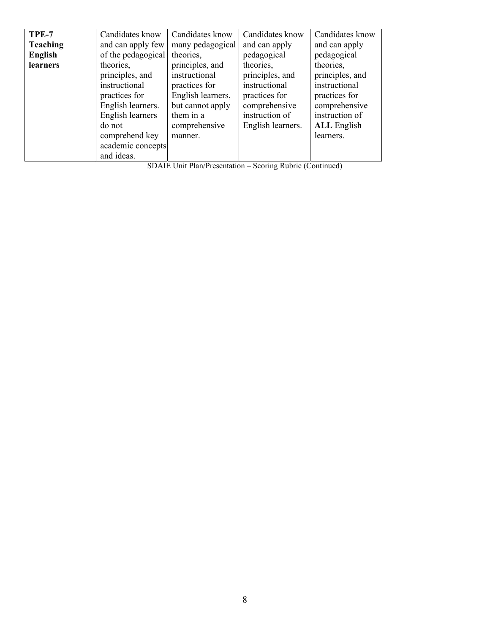| TPE-7           | Candidates know    | Candidates know   | Candidates know   | Candidates know    |
|-----------------|--------------------|-------------------|-------------------|--------------------|
| <b>Teaching</b> | and can apply few  | many pedagogical  | and can apply     | and can apply      |
| <b>English</b>  | of the pedagogical | theories.         | pedagogical       | pedagogical        |
| learners        | theories.          | principles, and   | theories.         | theories.          |
|                 | principles, and    | instructional     | principles, and   | principles, and    |
|                 | instructional      | practices for     | instructional     | instructional      |
|                 | practices for      | English learners, | practices for     | practices for      |
|                 | English learners.  | but cannot apply  | comprehensive     | comprehensive      |
|                 | English learners   | them in a         | instruction of    | instruction of     |
|                 | do not             | comprehensive     | English learners. | <b>ALL</b> English |
|                 | comprehend key     | manner.           |                   | learners.          |
|                 | academic concepts  |                   |                   |                    |
|                 | and ideas.         |                   |                   |                    |

| SDAIE Unit Plan/Presentation - Scoring Rubric (Continued) |  |  |
|-----------------------------------------------------------|--|--|
|                                                           |  |  |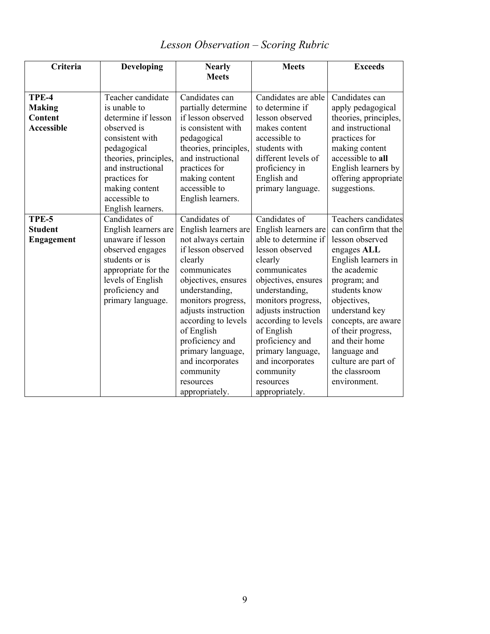| Criteria          | <b>Developing</b>                  | <b>Nearly</b>         | <b>Meets</b>         | <b>Exceeds</b>             |
|-------------------|------------------------------------|-----------------------|----------------------|----------------------------|
|                   |                                    | <b>Meets</b>          |                      |                            |
|                   |                                    |                       |                      |                            |
| TPE-4             | Teacher candidate                  | Candidates can        | Candidates are able  | Candidates can             |
| <b>Making</b>     | is unable to                       | partially determine   | to determine if      | apply pedagogical          |
| <b>Content</b>    | determine if lesson                | if lesson observed    | lesson observed      | theories, principles,      |
| <b>Accessible</b> | observed is                        | is consistent with    | makes content        | and instructional          |
|                   | consistent with                    | pedagogical           | accessible to        | practices for              |
|                   | pedagogical                        | theories, principles, | students with        | making content             |
|                   | theories, principles,              | and instructional     | different levels of  | accessible to all          |
|                   | and instructional                  | practices for         | proficiency in       | English learners by        |
|                   | practices for                      | making content        | English and          | offering appropriate       |
|                   | making content                     | accessible to         | primary language.    | suggestions.               |
|                   | accessible to                      | English learners.     |                      |                            |
| TPE-5             | English learners.<br>Candidates of | Candidates of         | Candidates of        | <b>Teachers candidates</b> |
| <b>Student</b>    | English learners are               | English learners are  | English learners are | can confirm that the       |
| <b>Engagement</b> | unaware if lesson                  | not always certain    | able to determine if | lesson observed            |
|                   | observed engages                   | if lesson observed    | lesson observed      | engages ALL                |
|                   | students or is                     | clearly               | clearly              | English learners in        |
|                   | appropriate for the                | communicates          | communicates         | the academic               |
|                   | levels of English                  | objectives, ensures   | objectives, ensures  | program; and               |
|                   | proficiency and                    | understanding,        | understanding,       | students know              |
|                   | primary language.                  | monitors progress,    | monitors progress,   | objectives,                |
|                   |                                    | adjusts instruction   | adjusts instruction  | understand key             |
|                   |                                    | according to levels   | according to levels  | concepts, are aware        |
|                   |                                    | of English            | of English           | of their progress,         |
|                   |                                    | proficiency and       | proficiency and      | and their home             |
|                   |                                    | primary language,     | primary language,    | language and               |
|                   |                                    | and incorporates      | and incorporates     | culture are part of        |
|                   |                                    | community             | community            | the classroom              |
|                   |                                    | resources             | resources            | environment.               |
|                   |                                    | appropriately.        | appropriately.       |                            |

# *Lesson Observation – Scoring Rubric*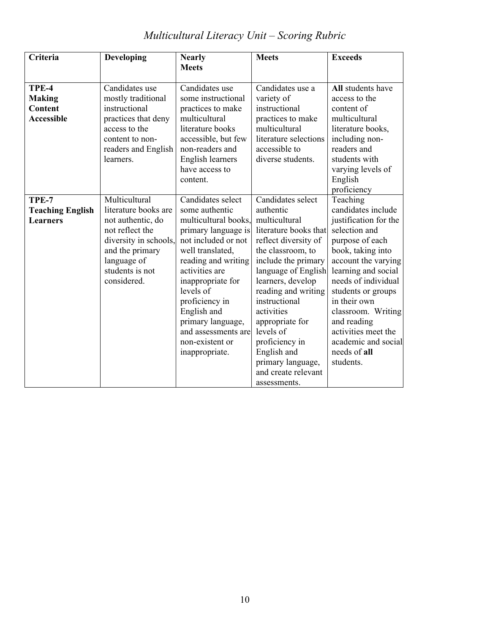# *Multicultural Literacy Unit – Scoring Rubric*

| Criteria                                                      | Developing                                                                                                                                                                 | <b>Nearly</b><br><b>Meets</b>                                                                                                                                                                                                                                                                                              | <b>Meets</b>                                                                                                                                                                                                                                                                                                                                                                | <b>Exceeds</b>                                                                                                                                                                                                                                                                                                                              |
|---------------------------------------------------------------|----------------------------------------------------------------------------------------------------------------------------------------------------------------------------|----------------------------------------------------------------------------------------------------------------------------------------------------------------------------------------------------------------------------------------------------------------------------------------------------------------------------|-----------------------------------------------------------------------------------------------------------------------------------------------------------------------------------------------------------------------------------------------------------------------------------------------------------------------------------------------------------------------------|---------------------------------------------------------------------------------------------------------------------------------------------------------------------------------------------------------------------------------------------------------------------------------------------------------------------------------------------|
| TPE-4<br><b>Making</b><br><b>Content</b><br><b>Accessible</b> | Candidates use<br>mostly traditional<br>instructional<br>practices that deny<br>access to the<br>content to non-<br>readers and English<br>learners.                       | Candidates use<br>some instructional<br>practices to make<br>multicultural<br>literature books<br>accessible, but few<br>non-readers and<br>English learners<br>have access to<br>content.                                                                                                                                 | Candidates use a<br>variety of<br>instructional<br>practices to make<br>multicultural<br>literature selections<br>accessible to<br>diverse students.                                                                                                                                                                                                                        | All students have<br>access to the<br>content of<br>multicultural<br>literature books,<br>including non-<br>readers and<br>students with<br>varying levels of<br>English<br>proficiency                                                                                                                                                     |
| TPE-7<br><b>Teaching English</b><br><b>Learners</b>           | Multicultural<br>literature books are<br>not authentic, do<br>not reflect the<br>diversity in schools,<br>and the primary<br>language of<br>students is not<br>considered. | Candidates select<br>some authentic<br>multicultural books,<br>primary language is<br>not included or not<br>well translated,<br>reading and writing<br>activities are<br>inappropriate for<br>levels of<br>proficiency in<br>English and<br>primary language,<br>and assessments are<br>non-existent or<br>inappropriate. | Candidates select<br>authentic<br>multicultural<br>literature books that<br>reflect diversity of<br>the classroom, to<br>include the primary<br>language of English<br>learners, develop<br>reading and writing<br>instructional<br>activities<br>appropriate for<br>levels of<br>proficiency in<br>English and<br>primary language,<br>and create relevant<br>assessments. | Teaching<br>candidates include<br>justification for the<br>selection and<br>purpose of each<br>book, taking into<br>account the varying<br>learning and social<br>needs of individual<br>students or groups<br>in their own<br>classroom. Writing<br>and reading<br>activities meet the<br>academic and social<br>needs of all<br>students. |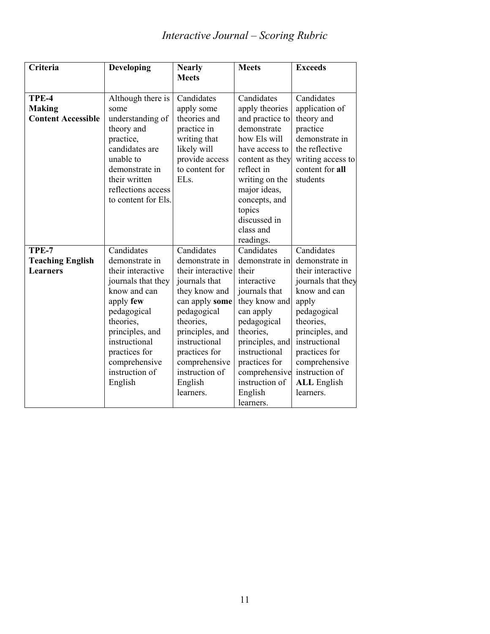# *Interactive Journal – Scoring Rubric*

| Criteria                                            | <b>Developing</b>                                                                                                                                                                                                                   | <b>Nearly</b><br><b>Meets</b>                                                                                                                                                                                                                     | <b>Meets</b>                                                                                                                                                                                                                                    | <b>Exceeds</b>                                                                                                                                                                                                                                          |
|-----------------------------------------------------|-------------------------------------------------------------------------------------------------------------------------------------------------------------------------------------------------------------------------------------|---------------------------------------------------------------------------------------------------------------------------------------------------------------------------------------------------------------------------------------------------|-------------------------------------------------------------------------------------------------------------------------------------------------------------------------------------------------------------------------------------------------|---------------------------------------------------------------------------------------------------------------------------------------------------------------------------------------------------------------------------------------------------------|
| TPE-4<br><b>Making</b><br><b>Content Accessible</b> | Although there is<br>some<br>understanding of<br>theory and<br>practice,<br>candidates are<br>unable to<br>demonstrate in<br>their written<br>reflections access<br>to content for Els.                                             | Candidates<br>apply some<br>theories and<br>practice in<br>writing that<br>likely will<br>provide access<br>to content for<br>EL <sub>s.</sub>                                                                                                    | Candidates<br>apply theories<br>and practice to<br>demonstrate<br>how Els will<br>have access to<br>content as they<br>reflect in<br>writing on the<br>major ideas,<br>concepts, and<br>topics<br>discussed in<br>class and<br>readings.        | Candidates<br>application of<br>theory and<br>practice<br>demonstrate in<br>the reflective<br>writing access to<br>content for all<br>students                                                                                                          |
| TPE-7<br><b>Teaching English</b><br><b>Learners</b> | Candidates<br>demonstrate in<br>their interactive<br>journals that they<br>know and can<br>apply few<br>pedagogical<br>theories,<br>principles, and<br>instructional<br>practices for<br>comprehensive<br>instruction of<br>English | Candidates<br>demonstrate in<br>their interactive<br>journals that<br>they know and<br>can apply some<br>pedagogical<br>theories,<br>principles, and<br>instructional<br>practices for<br>comprehensive<br>instruction of<br>English<br>learners. | Candidates<br>demonstrate in<br>their<br>interactive<br>journals that<br>they know and<br>can apply<br>pedagogical<br>theories,<br>principles, and<br>instructional<br>practices for<br>comprehensive<br>instruction of<br>English<br>learners. | Candidates<br>demonstrate in<br>their interactive<br>journals that they<br>know and can<br>apply<br>pedagogical<br>theories,<br>principles, and<br>instructional<br>practices for<br>comprehensive<br>instruction of<br><b>ALL</b> English<br>learners. |